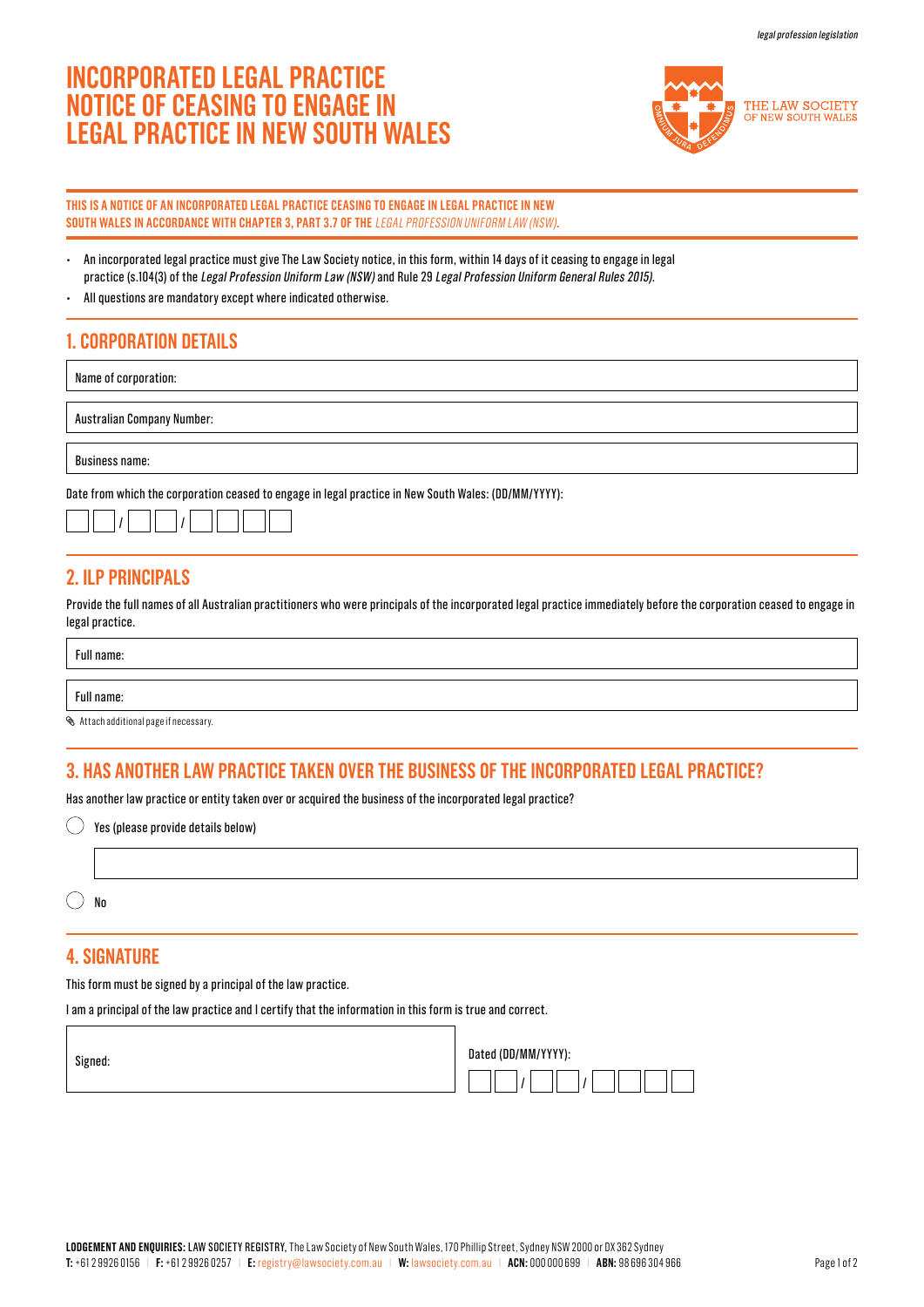# **INCORPORATED LEGAL PRACTICE NOTICE OF CEASING TO ENGAGE IN LEGAL PRACTICE IN NEW SOUTH WALES**



### **THIS IS A NOTICE OF AN INCORPORATED LEGAL PRACTICE CEASING TO ENGAGE IN LEGAL PRACTICE IN NEW SOUTH WALES IN ACCORDANCE WITH CHAPTER 3, PART 3.7 OF THE** LEGAL PROFESSION UNIFORM LAW (NSW)**.**

- An incorporated legal practice must give The Law Society notice, in this form, within 14 days of it ceasing to engage in legal practice (s.104(3) of the Legal Profession Uniform Law (NSW) and Rule 29 Legal Profession Uniform General Rules 2015).
- All questions are mandatory except where indicated otherwise.

# **1. CORPORATION DETAILS**

Name of corporation:

Australian Company Number:

Business name:

Date from which the corporation ceased to engage in legal practice in New South Wales: (DD/MM/YYYY):

|--|--|

# **2. ILP PRINCIPALS**

Provide the full names of all Australian practitioners who were principals of the incorporated legal practice immediately before the corporation ceased to engage in legal practice.

Full name:

Full name:

Attach additional page if necessary.

# **3. HAS ANOTHER LAW PRACTICE TAKEN OVER THE BUSINESS OF THE INCORPORATED LEGAL PRACTICE?**

Has another law practice or entity taken over or acquired the business of the incorporated legal practice?

| $\bigcirc$ Yes (please provide details below) |
|-----------------------------------------------|
|                                               |

 $()$  No

### **4. SIGNATURE**

This form must be signed by a principal of the law practice.

I am a principal of the law practice and I certify that the information in this form is true and correct.

Signed:

| Dated (DD/MM/YYYY): |  |  |
|---------------------|--|--|
|                     |  |  |